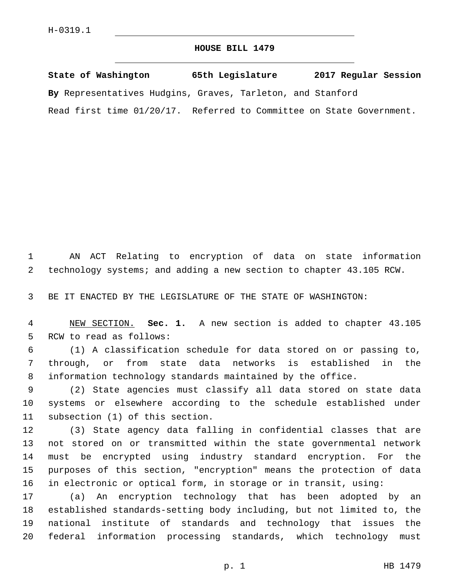## **HOUSE BILL 1479**

**State of Washington 65th Legislature 2017 Regular Session By** Representatives Hudgins, Graves, Tarleton, and Stanford Read first time 01/20/17. Referred to Committee on State Government.

 AN ACT Relating to encryption of data on state information technology systems; and adding a new section to chapter 43.105 RCW.

BE IT ENACTED BY THE LEGISLATURE OF THE STATE OF WASHINGTON:

 NEW SECTION. **Sec. 1.** A new section is added to chapter 43.105 5 RCW to read as follows:

 (1) A classification schedule for data stored on or passing to, through, or from state data networks is established in the information technology standards maintained by the office.

 (2) State agencies must classify all data stored on state data systems or elsewhere according to the schedule established under 11 subsection (1) of this section.

 (3) State agency data falling in confidential classes that are not stored on or transmitted within the state governmental network must be encrypted using industry standard encryption. For the purposes of this section, "encryption" means the protection of data in electronic or optical form, in storage or in transit, using:

 (a) An encryption technology that has been adopted by an established standards-setting body including, but not limited to, the national institute of standards and technology that issues the federal information processing standards, which technology must